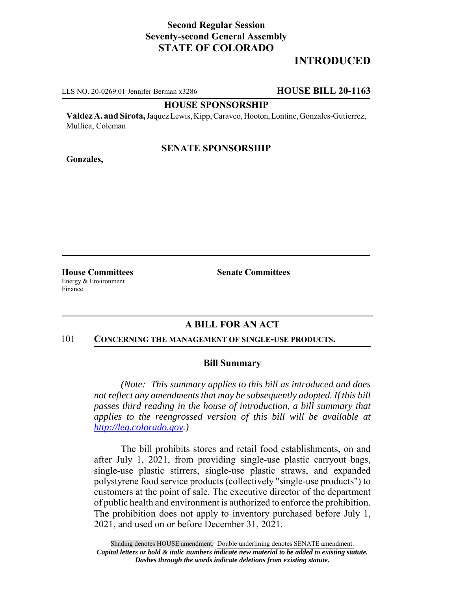## **Second Regular Session Seventy-second General Assembly STATE OF COLORADO**

# **INTRODUCED**

LLS NO. 20-0269.01 Jennifer Berman x3286 **HOUSE BILL 20-1163**

#### **HOUSE SPONSORSHIP**

**Valdez A. and Sirota,** Jaquez Lewis, Kipp, Caraveo, Hooton, Lontine, Gonzales-Gutierrez, Mullica, Coleman

### **SENATE SPONSORSHIP**

**Gonzales,**

Energy & Environment Finance

**House Committees Senate Committees** 

### **A BILL FOR AN ACT**

#### 101 **CONCERNING THE MANAGEMENT OF SINGLE-USE PRODUCTS.**

#### **Bill Summary**

*(Note: This summary applies to this bill as introduced and does not reflect any amendments that may be subsequently adopted. If this bill passes third reading in the house of introduction, a bill summary that applies to the reengrossed version of this bill will be available at http://leg.colorado.gov.)*

The bill prohibits stores and retail food establishments, on and after July 1, 2021, from providing single-use plastic carryout bags, single-use plastic stirrers, single-use plastic straws, and expanded polystyrene food service products (collectively "single-use products") to customers at the point of sale. The executive director of the department of public health and environment is authorized to enforce the prohibition. The prohibition does not apply to inventory purchased before July 1, 2021, and used on or before December 31, 2021.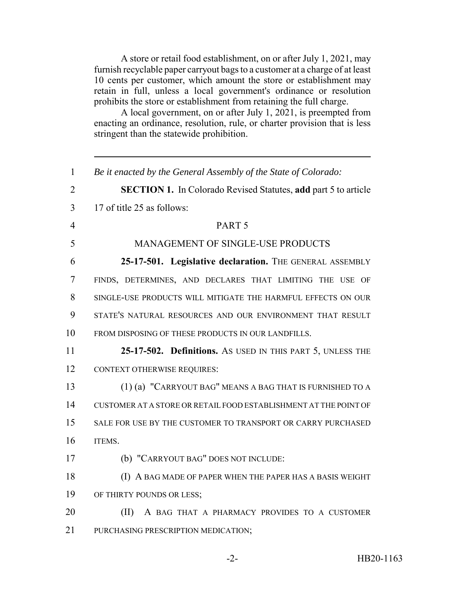A store or retail food establishment, on or after July 1, 2021, may furnish recyclable paper carryout bags to a customer at a charge of at least 10 cents per customer, which amount the store or establishment may retain in full, unless a local government's ordinance or resolution prohibits the store or establishment from retaining the full charge.

A local government, on or after July 1, 2021, is preempted from enacting an ordinance, resolution, rule, or charter provision that is less stringent than the statewide prohibition.

| $\mathbf{1}$   | Be it enacted by the General Assembly of the State of Colorado:       |
|----------------|-----------------------------------------------------------------------|
| $\overline{2}$ | <b>SECTION 1.</b> In Colorado Revised Statutes, add part 5 to article |
| 3              | 17 of title 25 as follows:                                            |
| $\overline{4}$ | PART <sub>5</sub>                                                     |
| 5              | <b>MANAGEMENT OF SINGLE-USE PRODUCTS</b>                              |
| 6              | 25-17-501. Legislative declaration. THE GENERAL ASSEMBLY              |
| 7              | FINDS, DETERMINES, AND DECLARES THAT LIMITING THE USE OF              |
| 8              | SINGLE-USE PRODUCTS WILL MITIGATE THE HARMFUL EFFECTS ON OUR          |
| 9              | STATE'S NATURAL RESOURCES AND OUR ENVIRONMENT THAT RESULT             |
| 10             | FROM DISPOSING OF THESE PRODUCTS IN OUR LANDFILLS.                    |
| 11             | 25-17-502. Definitions. As USED IN THIS PART 5, UNLESS THE            |
| 12             | <b>CONTEXT OTHERWISE REQUIRES:</b>                                    |
| 13             | (1) (a) "CARRYOUT BAG" MEANS A BAG THAT IS FURNISHED TO A             |
| 14             | CUSTOMER AT A STORE OR RETAIL FOOD ESTABLISHMENT AT THE POINT OF      |
| 15             | SALE FOR USE BY THE CUSTOMER TO TRANSPORT OR CARRY PURCHASED          |
| 16             | ITEMS.                                                                |
| 17             | (b) "CARRYOUT BAG" DOES NOT INCLUDE:                                  |
| 18             | (I) A BAG MADE OF PAPER WHEN THE PAPER HAS A BASIS WEIGHT             |
| 19             | OF THIRTY POUNDS OR LESS;                                             |
| 20             | (II)<br>A BAG THAT A PHARMACY PROVIDES TO A CUSTOMER                  |
| 21             | PURCHASING PRESCRIPTION MEDICATION;                                   |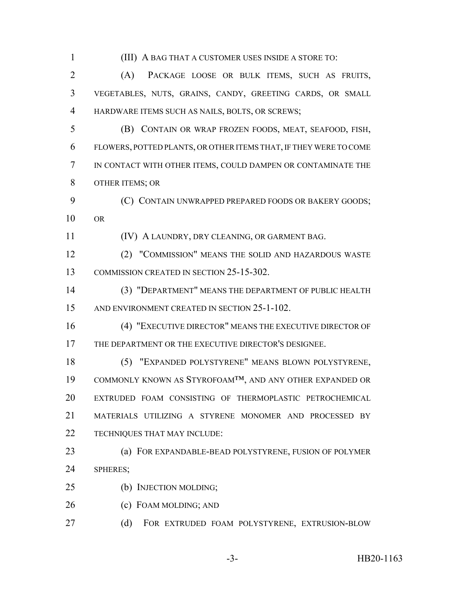(III) A BAG THAT A CUSTOMER USES INSIDE A STORE TO: (A) PACKAGE LOOSE OR BULK ITEMS, SUCH AS FRUITS, VEGETABLES, NUTS, GRAINS, CANDY, GREETING CARDS, OR SMALL HARDWARE ITEMS SUCH AS NAILS, BOLTS, OR SCREWS; (B) CONTAIN OR WRAP FROZEN FOODS, MEAT, SEAFOOD, FISH, FLOWERS, POTTED PLANTS, OR OTHER ITEMS THAT, IF THEY WERE TO COME IN CONTACT WITH OTHER ITEMS, COULD DAMPEN OR CONTAMINATE THE OTHER ITEMS; OR **(C) CONTAIN UNWRAPPED PREPARED FOODS OR BAKERY GOODS;**  OR (IV) A LAUNDRY, DRY CLEANING, OR GARMENT BAG. (2) "COMMISSION" MEANS THE SOLID AND HAZARDOUS WASTE COMMISSION CREATED IN SECTION 25-15-302. (3) "DEPARTMENT" MEANS THE DEPARTMENT OF PUBLIC HEALTH AND ENVIRONMENT CREATED IN SECTION 25-1-102. (4) "EXECUTIVE DIRECTOR" MEANS THE EXECUTIVE DIRECTOR OF THE DEPARTMENT OR THE EXECUTIVE DIRECTOR'S DESIGNEE. (5) "EXPANDED POLYSTYRENE" MEANS BLOWN POLYSTYRENE, COMMONLY KNOWN AS STYROFOAM™, AND ANY OTHER EXPANDED OR EXTRUDED FOAM CONSISTING OF THERMOPLASTIC PETROCHEMICAL MATERIALS UTILIZING A STYRENE MONOMER AND PROCESSED BY TECHNIQUES THAT MAY INCLUDE: (a) FOR EXPANDABLE-BEAD POLYSTYRENE, FUSION OF POLYMER SPHERES; (b) INJECTION MOLDING; 26 (c) FOAM MOLDING; AND (d) FOR EXTRUDED FOAM POLYSTYRENE, EXTRUSION-BLOW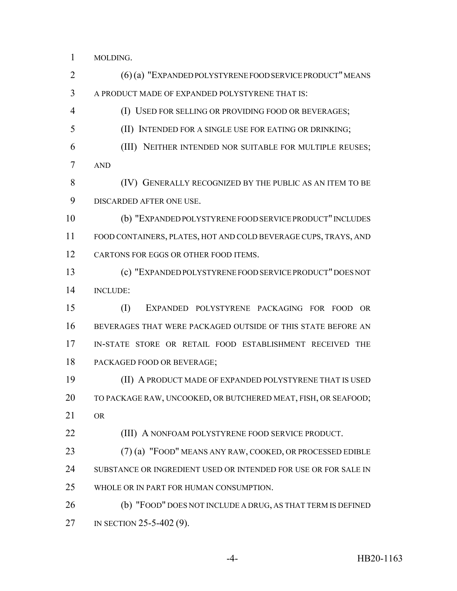MOLDING.

 (6) (a) "EXPANDED POLYSTYRENE FOOD SERVICE PRODUCT" MEANS A PRODUCT MADE OF EXPANDED POLYSTYRENE THAT IS: (I) USED FOR SELLING OR PROVIDING FOOD OR BEVERAGES; (II) INTENDED FOR A SINGLE USE FOR EATING OR DRINKING; (III) NEITHER INTENDED NOR SUITABLE FOR MULTIPLE REUSES; AND (IV) GENERALLY RECOGNIZED BY THE PUBLIC AS AN ITEM TO BE DISCARDED AFTER ONE USE. (b) "EXPANDED POLYSTYRENE FOOD SERVICE PRODUCT" INCLUDES FOOD CONTAINERS, PLATES, HOT AND COLD BEVERAGE CUPS, TRAYS, AND 12 CARTONS FOR EGGS OR OTHER FOOD ITEMS. (c) "EXPANDED POLYSTYRENE FOOD SERVICE PRODUCT" DOES NOT INCLUDE: (I) EXPANDED POLYSTYRENE PACKAGING FOR FOOD OR BEVERAGES THAT WERE PACKAGED OUTSIDE OF THIS STATE BEFORE AN

 IN-STATE STORE OR RETAIL FOOD ESTABLISHMENT RECEIVED THE PACKAGED FOOD OR BEVERAGE;

 (II) A PRODUCT MADE OF EXPANDED POLYSTYRENE THAT IS USED TO PACKAGE RAW, UNCOOKED, OR BUTCHERED MEAT, FISH, OR SEAFOOD; OR

(III) A NONFOAM POLYSTYRENE FOOD SERVICE PRODUCT.

 (7) (a) "FOOD" MEANS ANY RAW, COOKED, OR PROCESSED EDIBLE SUBSTANCE OR INGREDIENT USED OR INTENDED FOR USE OR FOR SALE IN WHOLE OR IN PART FOR HUMAN CONSUMPTION.

 (b) "FOOD" DOES NOT INCLUDE A DRUG, AS THAT TERM IS DEFINED 27 IN SECTION 25-5-402 (9).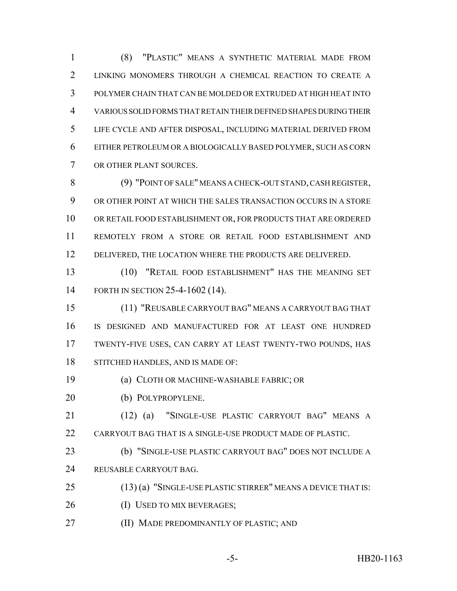(8) "PLASTIC" MEANS A SYNTHETIC MATERIAL MADE FROM LINKING MONOMERS THROUGH A CHEMICAL REACTION TO CREATE A POLYMER CHAIN THAT CAN BE MOLDED OR EXTRUDED AT HIGH HEAT INTO VARIOUS SOLID FORMS THAT RETAIN THEIR DEFINED SHAPES DURING THEIR LIFE CYCLE AND AFTER DISPOSAL, INCLUDING MATERIAL DERIVED FROM EITHER PETROLEUM OR A BIOLOGICALLY BASED POLYMER, SUCH AS CORN OR OTHER PLANT SOURCES.

 (9) "POINT OF SALE" MEANS A CHECK-OUT STAND, CASH REGISTER, OR OTHER POINT AT WHICH THE SALES TRANSACTION OCCURS IN A STORE OR RETAIL FOOD ESTABLISHMENT OR, FOR PRODUCTS THAT ARE ORDERED REMOTELY FROM A STORE OR RETAIL FOOD ESTABLISHMENT AND 12 DELIVERED, THE LOCATION WHERE THE PRODUCTS ARE DELIVERED.

 (10) "RETAIL FOOD ESTABLISHMENT" HAS THE MEANING SET FORTH IN SECTION 25-4-1602 (14).

 (11) "REUSABLE CARRYOUT BAG" MEANS A CARRYOUT BAG THAT IS DESIGNED AND MANUFACTURED FOR AT LEAST ONE HUNDRED TWENTY-FIVE USES, CAN CARRY AT LEAST TWENTY-TWO POUNDS, HAS STITCHED HANDLES, AND IS MADE OF:

- (a) CLOTH OR MACHINE-WASHABLE FABRIC; OR
- (b) POLYPROPYLENE.

 (12) (a) "SINGLE-USE PLASTIC CARRYOUT BAG" MEANS A CARRYOUT BAG THAT IS A SINGLE-USE PRODUCT MADE OF PLASTIC.

- (b) "SINGLE-USE PLASTIC CARRYOUT BAG" DOES NOT INCLUDE A REUSABLE CARRYOUT BAG.
- (13) (a) "SINGLE-USE PLASTIC STIRRER" MEANS A DEVICE THAT IS:
- 26 (I) USED TO MIX BEVERAGES;
- (II) MADE PREDOMINANTLY OF PLASTIC; AND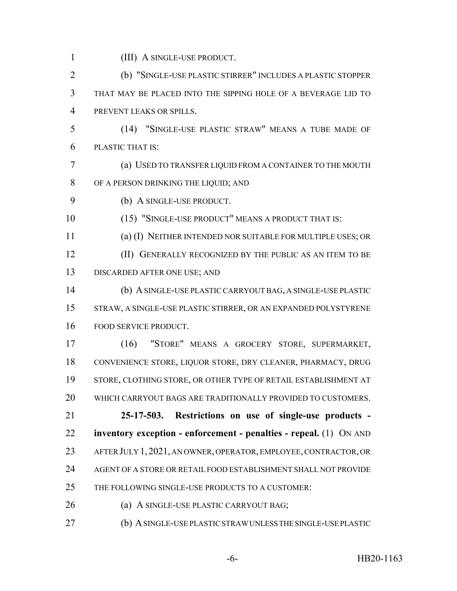(III) A SINGLE-USE PRODUCT.

 (b) "SINGLE-USE PLASTIC STIRRER" INCLUDES A PLASTIC STOPPER THAT MAY BE PLACED INTO THE SIPPING HOLE OF A BEVERAGE LID TO PREVENT LEAKS OR SPILLS.

- (14) "SINGLE-USE PLASTIC STRAW" MEANS A TUBE MADE OF PLASTIC THAT IS:
- (a) USED TO TRANSFER LIQUID FROM A CONTAINER TO THE MOUTH OF A PERSON DRINKING THE LIQUID; AND
- (b) A SINGLE-USE PRODUCT.

(15) "SINGLE-USE PRODUCT" MEANS A PRODUCT THAT IS:

 (a) (I) NEITHER INTENDED NOR SUITABLE FOR MULTIPLE USES; OR (II) GENERALLY RECOGNIZED BY THE PUBLIC AS AN ITEM TO BE DISCARDED AFTER ONE USE; AND

 (b) A SINGLE-USE PLASTIC CARRYOUT BAG, A SINGLE-USE PLASTIC STRAW, A SINGLE-USE PLASTIC STIRRER, OR AN EXPANDED POLYSTYRENE FOOD SERVICE PRODUCT.

 (16) "STORE" MEANS A GROCERY STORE, SUPERMARKET, CONVENIENCE STORE, LIQUOR STORE, DRY CLEANER, PHARMACY, DRUG STORE, CLOTHING STORE, OR OTHER TYPE OF RETAIL ESTABLISHMENT AT WHICH CARRYOUT BAGS ARE TRADITIONALLY PROVIDED TO CUSTOMERS.

 **25-17-503. Restrictions on use of single-use products - inventory exception - enforcement - penalties - repeal.** (1) ON AND AFTER JULY 1,2021, AN OWNER, OPERATOR, EMPLOYEE, CONTRACTOR, OR AGENT OF A STORE OR RETAIL FOOD ESTABLISHMENT SHALL NOT PROVIDE THE FOLLOWING SINGLE-USE PRODUCTS TO A CUSTOMER:

- (a) A SINGLE-USE PLASTIC CARRYOUT BAG;
- (b) A SINGLE-USE PLASTIC STRAW UNLESS THE SINGLE-USE PLASTIC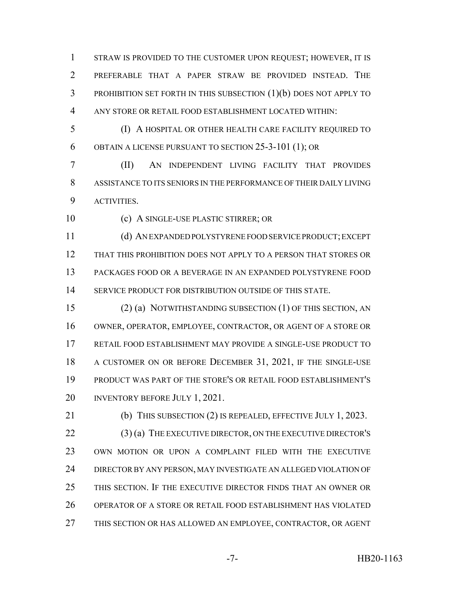STRAW IS PROVIDED TO THE CUSTOMER UPON REQUEST; HOWEVER, IT IS PREFERABLE THAT A PAPER STRAW BE PROVIDED INSTEAD. THE PROHIBITION SET FORTH IN THIS SUBSECTION (1)(b) DOES NOT APPLY TO ANY STORE OR RETAIL FOOD ESTABLISHMENT LOCATED WITHIN:

 (I) A HOSPITAL OR OTHER HEALTH CARE FACILITY REQUIRED TO OBTAIN A LICENSE PURSUANT TO SECTION 25-3-101 (1); OR

 (II) AN INDEPENDENT LIVING FACILITY THAT PROVIDES ASSISTANCE TO ITS SENIORS IN THE PERFORMANCE OF THEIR DAILY LIVING ACTIVITIES.

(c) A SINGLE-USE PLASTIC STIRRER; OR

 (d) AN EXPANDED POLYSTYRENE FOOD SERVICE PRODUCT; EXCEPT THAT THIS PROHIBITION DOES NOT APPLY TO A PERSON THAT STORES OR PACKAGES FOOD OR A BEVERAGE IN AN EXPANDED POLYSTYRENE FOOD SERVICE PRODUCT FOR DISTRIBUTION OUTSIDE OF THIS STATE.

 (2) (a) NOTWITHSTANDING SUBSECTION (1) OF THIS SECTION, AN OWNER, OPERATOR, EMPLOYEE, CONTRACTOR, OR AGENT OF A STORE OR RETAIL FOOD ESTABLISHMENT MAY PROVIDE A SINGLE-USE PRODUCT TO A CUSTOMER ON OR BEFORE DECEMBER 31, 2021, IF THE SINGLE-USE PRODUCT WAS PART OF THE STORE'S OR RETAIL FOOD ESTABLISHMENT'S 20 INVENTORY BEFORE JULY 1, 2021.

21 (b) THIS SUBSECTION (2) IS REPEALED, EFFECTIVE JULY 1, 2023. (3) (a) THE EXECUTIVE DIRECTOR, ON THE EXECUTIVE DIRECTOR'S OWN MOTION OR UPON A COMPLAINT FILED WITH THE EXECUTIVE DIRECTOR BY ANY PERSON, MAY INVESTIGATE AN ALLEGED VIOLATION OF THIS SECTION. IF THE EXECUTIVE DIRECTOR FINDS THAT AN OWNER OR OPERATOR OF A STORE OR RETAIL FOOD ESTABLISHMENT HAS VIOLATED THIS SECTION OR HAS ALLOWED AN EMPLOYEE, CONTRACTOR, OR AGENT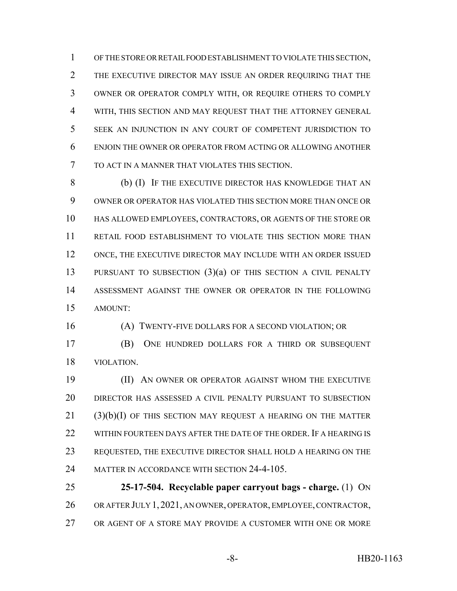OF THE STORE OR RETAIL FOOD ESTABLISHMENT TO VIOLATE THIS SECTION, THE EXECUTIVE DIRECTOR MAY ISSUE AN ORDER REQUIRING THAT THE OWNER OR OPERATOR COMPLY WITH, OR REQUIRE OTHERS TO COMPLY WITH, THIS SECTION AND MAY REQUEST THAT THE ATTORNEY GENERAL SEEK AN INJUNCTION IN ANY COURT OF COMPETENT JURISDICTION TO ENJOIN THE OWNER OR OPERATOR FROM ACTING OR ALLOWING ANOTHER TO ACT IN A MANNER THAT VIOLATES THIS SECTION.

 (b) (I) IF THE EXECUTIVE DIRECTOR HAS KNOWLEDGE THAT AN OWNER OR OPERATOR HAS VIOLATED THIS SECTION MORE THAN ONCE OR HAS ALLOWED EMPLOYEES, CONTRACTORS, OR AGENTS OF THE STORE OR RETAIL FOOD ESTABLISHMENT TO VIOLATE THIS SECTION MORE THAN ONCE, THE EXECUTIVE DIRECTOR MAY INCLUDE WITH AN ORDER ISSUED PURSUANT TO SUBSECTION (3)(a) OF THIS SECTION A CIVIL PENALTY ASSESSMENT AGAINST THE OWNER OR OPERATOR IN THE FOLLOWING AMOUNT:

(A) TWENTY-FIVE DOLLARS FOR A SECOND VIOLATION; OR

 (B) ONE HUNDRED DOLLARS FOR A THIRD OR SUBSEQUENT VIOLATION.

 (II) AN OWNER OR OPERATOR AGAINST WHOM THE EXECUTIVE DIRECTOR HAS ASSESSED A CIVIL PENALTY PURSUANT TO SUBSECTION (3)(b)(I) OF THIS SECTION MAY REQUEST A HEARING ON THE MATTER 22 WITHIN FOURTEEN DAYS AFTER THE DATE OF THE ORDER. IF A HEARING IS REQUESTED, THE EXECUTIVE DIRECTOR SHALL HOLD A HEARING ON THE MATTER IN ACCORDANCE WITH SECTION 24-4-105.

 **25-17-504. Recyclable paper carryout bags - charge.** (1) ON OR AFTER JULY 1,2021, AN OWNER, OPERATOR, EMPLOYEE, CONTRACTOR, OR AGENT OF A STORE MAY PROVIDE A CUSTOMER WITH ONE OR MORE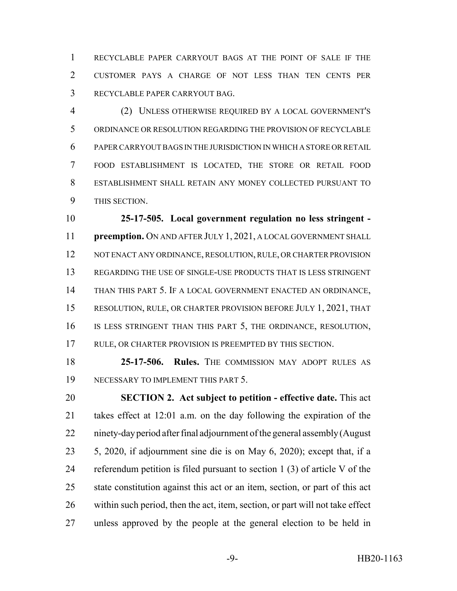RECYCLABLE PAPER CARRYOUT BAGS AT THE POINT OF SALE IF THE CUSTOMER PAYS A CHARGE OF NOT LESS THAN TEN CENTS PER RECYCLABLE PAPER CARRYOUT BAG.

 (2) UNLESS OTHERWISE REQUIRED BY A LOCAL GOVERNMENT'S ORDINANCE OR RESOLUTION REGARDING THE PROVISION OF RECYCLABLE PAPER CARRYOUT BAGS IN THE JURISDICTION IN WHICH A STORE OR RETAIL FOOD ESTABLISHMENT IS LOCATED, THE STORE OR RETAIL FOOD ESTABLISHMENT SHALL RETAIN ANY MONEY COLLECTED PURSUANT TO THIS SECTION.

 **25-17-505. Local government regulation no less stringent - preemption.** ON AND AFTER JULY 1, 2021, A LOCAL GOVERNMENT SHALL 12 NOT ENACT ANY ORDINANCE, RESOLUTION, RULE, OR CHARTER PROVISION REGARDING THE USE OF SINGLE-USE PRODUCTS THAT IS LESS STRINGENT THAN THIS PART 5. IF A LOCAL GOVERNMENT ENACTED AN ORDINANCE, RESOLUTION, RULE, OR CHARTER PROVISION BEFORE JULY 1, 2021, THAT IS LESS STRINGENT THAN THIS PART 5, THE ORDINANCE, RESOLUTION, RULE, OR CHARTER PROVISION IS PREEMPTED BY THIS SECTION.

 **25-17-506. Rules.** THE COMMISSION MAY ADOPT RULES AS NECESSARY TO IMPLEMENT THIS PART 5.

 **SECTION 2. Act subject to petition - effective date.** This act takes effect at 12:01 a.m. on the day following the expiration of the ninety-day period after final adjournment of the general assembly (August 5, 2020, if adjournment sine die is on May 6, 2020); except that, if a referendum petition is filed pursuant to section 1 (3) of article V of the state constitution against this act or an item, section, or part of this act within such period, then the act, item, section, or part will not take effect unless approved by the people at the general election to be held in